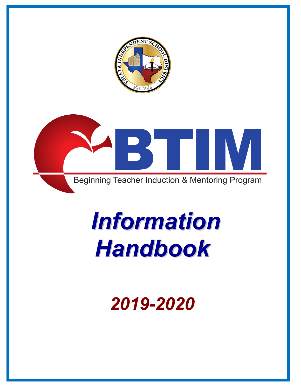



# *Information Handbook*

*2019-2020*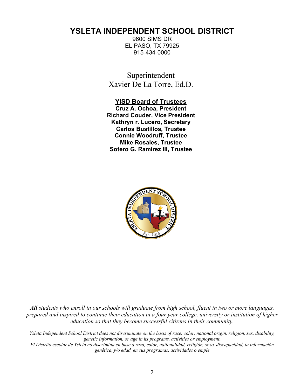# **YSLETA INDEPENDENT SCHOOL DISTRICT**

9600 SIMS DR EL PASO, TX 79925 915-434-0000

Superintendent Xavier De La Torre, Ed.D.

#### **YISD Board of Trustees**

**Cruz A. Ochoa, President Richard Couder, Vice President Kathryn r. Lucero, Secretary Carlos Bustillos, Trustee Connie Woodruff, Trustee Mike Rosales, Trustee Sotero G. Ramirez III, Trustee**



*All students who enroll in our schools will graduate from high school, fluent in two or more languages, prepared and inspired to continue their education in a four year college, university or institution of higher education so that they become successful citizens in their community.*

*Ysleta Independent School District does not discriminate on the basis of race, color, national origin, religion, sex, disability, genetic information, or age in its programs, activities or employment***.**

*El Distrito escolar de Ysleta no discrimina en base a raza, color, nationalidad, religión, sexo, discapacidad, la información genética, y/o edad, en sus programas, actividades o emple*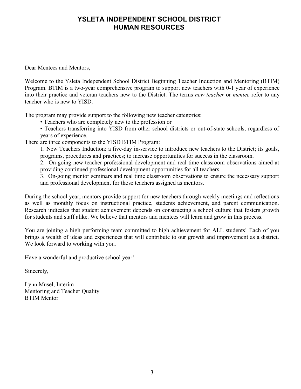# **YSLETA INDEPENDENT SCHOOL DISTRICT HUMAN RESOURCES**

Dear Mentees and Mentors,

Welcome to the Ysleta Independent School District Beginning Teacher Induction and Mentoring (BTIM) Program. BTIM is a two-year comprehensive program to support new teachers with 0-1 year of experience into their practice and veteran teachers new to the District. The terms *new teacher* or *mentee* refer to any teacher who is new to YISD.

The program may provide support to the following new teacher categories:

• Teachers who are completely new to the profession or

• Teachers transferring into YISD from other school districts or out-of-state schools, regardless of years of experience.

There are three components to the YISD BTIM Program:

1. New Teachers Induction: a five-day in-service to introduce new teachers to the District; its goals, programs, procedures and practices; to increase opportunities for success in the classroom.

2. On-going new teacher professional development and real time classroom observations aimed at providing continued professional development opportunities for all teachers.

3. On-going mentor seminars and real time classroom observations to ensure the necessary support and professional development for those teachers assigned as mentors.

During the school year, mentors provide support for new teachers through weekly meetings and reflections as well as monthly focus on instructional practice, students achievement, and parent communication. Research indicates that student achievement depends on constructing a school culture that fosters growth for students and staff alike. We believe that mentors and mentees will learn and grow in this process.

You are joining a high performing team committed to high achievement for ALL students! Each of you brings a wealth of ideas and experiences that will contribute to our growth and improvement as a district. We look forward to working with you.

Have a wonderful and productive school year!

Sincerely,

Lynn Musel, Interim Mentoring and Teacher Quality BTIM Mentor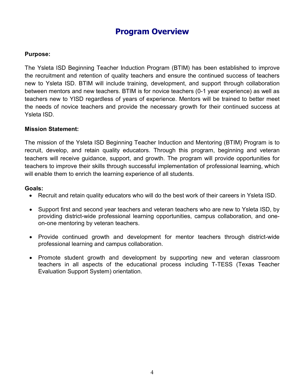# **Program Overview**

#### **Purpose:**

The Ysleta ISD Beginning Teacher Induction Program (BTIM) has been established to improve the recruitment and retention of quality teachers and ensure the continued success of teachers new to Ysleta ISD. BTIM will include training, development, and support through collaboration between mentors and new teachers. BTIM is for novice teachers (0-1 year experience) as well as teachers new to YISD regardless of years of experience. Mentors will be trained to better meet the needs of novice teachers and provide the necessary growth for their continued success at Ysleta ISD.

#### **Mission Statement:**

The mission of the Ysleta ISD Beginning Teacher Induction and Mentoring (BTIM) Program is to recruit, develop, and retain quality educators. Through this program, beginning and veteran teachers will receive guidance, support, and growth. The program will provide opportunities for teachers to improve their skills through successful implementation of professional learning, which will enable them to enrich the learning experience of all students.

#### **Goals:**

- Recruit and retain quality educators who will do the best work of their careers in Ysleta ISD.
- Support first and second year teachers and veteran teachers who are new to Ysleta ISD, by providing district-wide professional learning opportunities, campus collaboration, and oneon-one mentoring by veteran teachers.
- Provide continued growth and development for mentor teachers through district-wide professional learning and campus collaboration.
- Promote student growth and development by supporting new and veteran classroom teachers in all aspects of the educational process including T-TESS (Texas Teacher Evaluation Support System) orientation.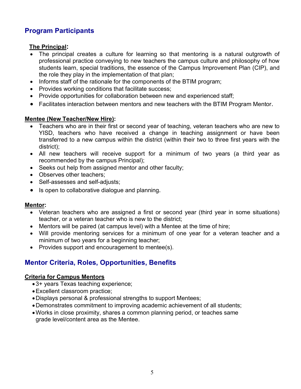# **Program Participants**

#### **The Principal:**

- The principal creates a culture for learning so that mentoring is a natural outgrowth of professional practice conveying to new teachers the campus culture and philosophy of how students learn, special traditions, the essence of the Campus Improvement Plan (CIP), and the role they play in the implementation of that plan;
- Informs staff of the rationale for the components of the BTIM program;
- Provides working conditions that facilitate success;
- Provide opportunities for collaboration between new and experienced staff;
- Facilitates interaction between mentors and new teachers with the BTIM Program Mentor.

#### **Mentee (New Teacher/New Hire):**

- Teachers who are in their first or second year of teaching, veteran teachers who are new to YISD, teachers who have received a change in teaching assignment or have been transferred to a new campus within the district (within their two to three first years with the district);
- All new teachers will receive support for a minimum of two years (a third year as recommended by the campus Principal);
- Seeks out help from assigned mentor and other faculty;
- Observes other teachers:
- Self-assesses and self-adjusts;
- Is open to collaborative dialogue and planning.

#### **Mentor:**

- Veteran teachers who are assigned a first or second year (third year in some situations) teacher, or a veteran teacher who is new to the district;
- Mentors will be paired (at campus level) with a Mentee at the time of hire;
- Will provide mentoring services for a minimum of one year for a veteran teacher and a minimum of two years for a beginning teacher;
- Provides support and encouragement to mentee(s).

# **Mentor Criteria, Roles, Opportunities, Benefits**

#### **Criteria for Campus Mentors**

- 3+ years Texas teaching experience;
- •Excellent classroom practice;
- •Displays personal & professional strengths to support Mentees;
- •Demonstrates commitment to improving academic achievement of all students;
- •Works in close proximity, shares a common planning period, or teaches same grade level/content area as the Mentee.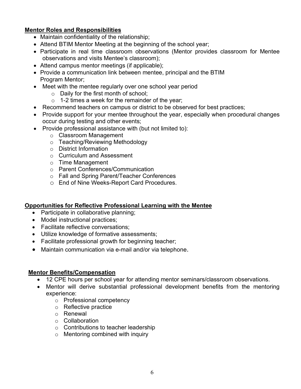#### **Mentor Roles and Responsibilities**

- Maintain confidentiality of the relationship;
- Attend BTIM Mentor Meeting at the beginning of the school year;
- Participate in real time classroom observations (Mentor provides classroom for Mentee observations and visits Mentee's classroom);
- Attend campus mentor meetings (if applicable);
- Provide a communication link between mentee, principal and the BTIM Program Mentor;
- Meet with the mentee regularly over one school year period
	- o Daily for the first month of school;
	- $\circ$  1-2 times a week for the remainder of the year;
- Recommend teachers on campus or district to be observed for best practices;
- Provide support for your mentee throughout the year, especially when procedural changes occur during testing and other events;
- Provide professional assistance with (but not limited to):
	- o Classroom Management
	- o Teaching/Reviewing Methodology
	- o District Information
	- o Curriculum and Assessment
	- o Time Management
	- o Parent Conferences/Communication
	- o Fall and Spring Parent/Teacher Conferences
	- o End of Nine Weeks-Report Card Procedures.

#### **Opportunities for Reflective Professional Learning with the Mentee**

- Participate in collaborative planning;
- Model instructional practices;
- Facilitate reflective conversations;
- Utilize knowledge of formative assessments;
- Facilitate professional growth for beginning teacher;
- Maintain communication via e-mail and/or via telephone.

#### **Mentor Benefits/Compensation**

- 12 CPE hours per school year for attending mentor seminars/classroom observations.
- Mentor will derive substantial professional development benefits from the mentoring experience:
	- o Professional competency
	- o Reflective practice
	- o Renewal
	- o Collaboration
	- o Contributions to teacher leadership
	- o Mentoring combined with inquiry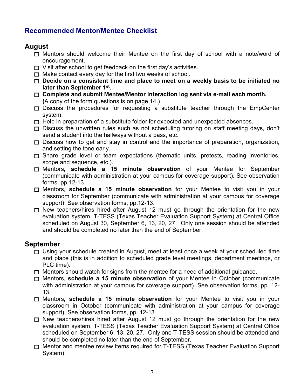# **Recommended Mentor/Mentee Checklist**

# **August**

- $\Box$  Mentors should welcome their Mentee on the first day of school with a note/word of encouragement.
- $\Box$  Visit after school to get feedback on the first day's activities.
- $\Box$  Make contact every day for the first two weeks of school.
- □ Decide on a consistent time and place to meet on a weekly basis to be initiated no **later than September 1st.**
- 1 **Complete and submit Mentee/Mentor Interaction log sent via e-mail each month. (**A copy of the form questions is on page 14.)
- $\Box$  Discuss the procedures for requesting a substitute teacher through the EmpCenter system.
- $\Box$  Help in preparation of a substitute folder for expected and unexpected absences.
- $\Box$  Discuss the unwritten rules such as not scheduling tutoring on staff meeting days, don't send a student into the hallways without a pass, etc.
- $\Box$  Discuss how to get and stay in control and the importance of preparation, organization, and setting the tone early.
- $\Box$  Share grade level or team expectations (thematic units, pretests, reading inventories, scope and sequence, etc.).
- 1 Mentors, **schedule a 15 minute observation** of your Mentee for September (communicate with administration at your campus for coverage support). See observation forms, pp.12-13.
- 1 Mentors, **schedule a 15 minute observation** for your Mentee to visit you in your classroom for September (communicate with administration at your campus for coverage support). See observation forms, pp.12-13.
- $\Box$  New teachers/hires hired after August 12 must go through the orientation for the new evaluation system, T-TESS (Texas Teacher Evaluation Support System) at Central Office scheduled on August 30, September 6, 13, 20, 27. Only one session should be attended and should be completed no later than the end of September.

## **September**

- $\Box$  Using your schedule created in August, meet at least once a week at your scheduled time and place (this is in addition to scheduled grade level meetings, department meetings, or PLC time).
- $\Box$  Mentors should watch for signs from the mentee for a need of additional guidance.
- 1 Mentors, **schedule a 15 minute observation** of your Mentee in October (communicate with administration at your campus for coverage support). See observation forms, pp. 12- 13.
- 1 Mentors, **schedule a 15 minute observation** for your Mentee to visit you in your classroom in October (communicate with administration at your campus for coverage support). See observation forms, pp. 12-13
- $\Box$  New teachers/hires hired after August 12 must go through the orientation for the new evaluation system, T-TESS (Texas Teacher Evaluation Support System) at Central Office scheduled on September 6, 13, 20, 27. Only one T-TESS session should be attended and should be completed no later than the end of September.
- □ Mentor and mentee review items required for T-TESS (Texas Teacher Evaluation Support System).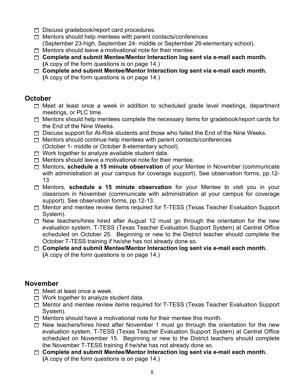- $\Box$  Discuss gradebook/report card procedures.
- $\Box$  Mentors should help mentees with parent contacts/conferences (September 23-high, September 24- middle or September 26-elementary school).
- $\Box$  Mentors should leave a motivational note for their mentee.
- 1 **Complete and submit Mentee/Mentor Interaction log sent via e-mail each month. (**A copy of the form questions is on page 14.)
- 1 **Complete and submit Mentee/Mentor Interaction log sent via e-mail each month. (**A copy of the form questions is on page 14.)

## **October**

- $\Box$  Meet at least once a week in addition to scheduled grade level meetings, department meetings, or PLC time.
- $\Box$  Mentors should help mentees complete the necessary items for gradebook/report cards for the End of the Nine Weeks.
- $\Box$  Discuss support for At-Risk students and those who failed the End of the Nine Weeks.
- $\Box$  Mentors should continue help mentees with parent contacts/conferences (October 1- middle or October 8-elementary school).
- $\Box$  Work together to analyze available student data.
- $\Box$  Mentors should leave a motivational note for their mentee.
- 1 Mentors, **schedule a 15 minute observation** of your Mentee in November (communicate with administration at your campus for coverage support). See observation forms, pp.12- 13
- 1 Mentors, **schedule a 15 minute observation** for your Mentee to visit you in your classroom in November (communicate with administration at your campus for coverage support). See observation forms, pp.12-13.
- □ Mentor and mentee review items required for T-TESS (Texas Teacher Evaluation Support System).
- $\Box$  New teachers/hires hired after August 12 must go through the orientation for the new evaluation system, T-TESS (Texas Teacher Evaluation Support System) at Central Office scheduled on October 25. Beginning or new to the District teacher should complete the October T-TESS training if he/she has not already done so.
- 1 **Complete and submit Mentee/Mentor Interaction log sent via e-mail each month. (**A copy of the form questions is on page 14.)

# **November**

- $\Box$  Meet at least once a week.
- $\Box$  Work together to analyze student data.
- □ Mentor and mentee review items required for T-TESS (Texas Teacher Evaluation Support System).
- $\Box$  Mentors should have a motivational note for their mentee this month.
- $\Box$  New teachers/hires hired after November 1 must go through the orientation for the new evaluation system, T-TESS (Texas Teacher Evaluation Support System) at Central Office scheduled on November 15. Beginning or new to the District teachers should complete the November T-TESS training if he/she has not already done so.
- 1 **Complete and submit Mentee/Mentor Interaction log sent via e-mail each month. (**A copy of the form questions is on page 14.)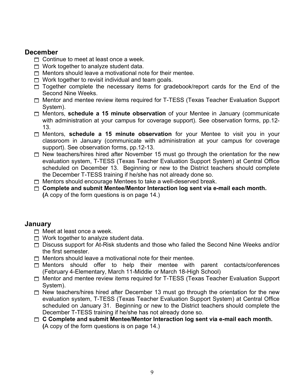### **December**

- $\Box$  Continue to meet at least once a week.
- $\Box$  Work together to analyze student data.
- $\Box$  Mentors should leave a motivational note for their mentee.
- $\Box$  Work together to revisit individual and team goals.
- $\Box$  Together complete the necessary items for gradebook/report cards for the End of the Second Nine Weeks.
- □ Mentor and mentee review items required for T-TESS (Texas Teacher Evaluation Support System).
- 1 Mentors, **schedule a 15 minute observation** of your Mentee in January (communicate with administration at your campus for coverage support). See observation forms, pp.12- 13.
- 1 Mentors, **schedule a 15 minute observation** for your Mentee to visit you in your classroom in January (communicate with administration at your campus for coverage support). See observation forms, pp.12-13.
- $\Box$  New teachers/hires hired after November 15 must go through the orientation for the new evaluation system, T-TESS (Texas Teacher Evaluation Support System) at Central Office scheduled on December 13. Beginning or new to the District teachers should complete the December T-TESS training if he/she has not already done so.
- $\Box$  Mentors should encourage Mentees to take a well-deserved break.
- 1 **Complete and submit Mentee/Mentor Interaction log sent via e-mail each month. (**A copy of the form questions is on page 14.)

#### **January**

- $\Box$  Meet at least once a week.
- $\Box$  Work together to analyze student data.
- 1 Discuss support for At-Risk students and those who failed the Second Nine Weeks and/or the first semester.
- $\Box$  Mentors should leave a motivational note for their mentee.
- $\Box$  Mentors should offer to help their mentee with parent contacts/conferences (February 4-Elementary, March 11-Middle or March 18-High School)
- □ Mentor and mentee review items required for T-TESS (Texas Teacher Evaluation Support System).
- $\Box$  New teachers/hires hired after December 13 must go through the orientation for the new evaluation system, T-TESS (Texas Teacher Evaluation Support System) at Central Office scheduled on January 31. Beginning or new to the District teachers should complete the December T-TESS training if he/she has not already done so.
- 1 **C Complete and submit Mentee/Mentor Interaction log sent via e-mail each month. (**A copy of the form questions is on page 14.)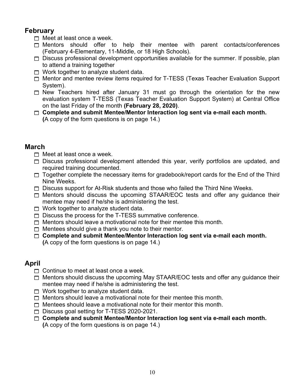# **February**

 $\Box$  Meet at least once a week.

- $\Box$  Mentors should offer to help their mentee with parent contacts/conferences (February 4-Elementary, 11-Middle, or 18 High Schools).
- $\Box$  Discuss professional development opportunities available for the summer. If possible, plan to attend a training together
- $\Box$  Work together to analyze student data.
- □ Mentor and mentee review items required for T-TESS (Texas Teacher Evaluation Support System).
- $\Box$  New Teachers hired after January 31 must go through the orientation for the new evaluation system T-TESS (Texas Teacher Evaluation Support System) at Central Office on the last Friday of the month **(February 28, 2020)**.
- 1 **Complete and submit Mentee/Mentor Interaction log sent via e-mail each month. (**A copy of the form questions is on page 14.)

## **March**

- $\Box$  Meet at least once a week.
- $\Box$  Discuss professional development attended this year, verify portfolios are updated, and required training documented.
- $\Box$  Together complete the necessary items for gradebook/report cards for the End of the Third Nine Weeks.
- $\Box$  Discuss support for At-Risk students and those who failed the Third Nine Weeks.
- $\Box$  Mentors should discuss the upcoming STAAR/EOC tests and offer any guidance their mentee may need if he/she is administering the test.
- $\Box$  Work together to analyze student data.
- $\Box$  Discuss the process for the T-TESS summative conference.
- $\Box$  Mentors should leave a motivational note for their mentee this month.
- $\Box$  Mentees should give a thank you note to their mentor.
- 1 **Complete and submit Mentee/Mentor Interaction log sent via e-mail each month. (**A copy of the form questions is on page 14.)

# **April**

- $\Box$  Continue to meet at least once a week.
- $\Box$  Mentors should discuss the upcoming May STAAR/EOC tests and offer any guidance their mentee may need if he/she is administering the test.
- $\Box$  Work together to analyze student data.
- $\Box$  Mentors should leave a motivational note for their mentee this month.
- $\Box$  Mentees should leave a motivational note for their mentor this month.
- □ Discuss goal setting for T-TESS 2020-2021.
- 1 **Complete and submit Mentee/Mentor Interaction log sent via e-mail each month. (**A copy of the form questions is on page 14.)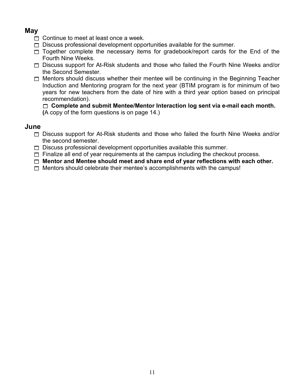# **May**

- $\Box$  Continue to meet at least once a week.
- $\Box$  Discuss professional development opportunities available for the summer.
- $\Box$  Together complete the necessary items for gradebook/report cards for the End of the Fourth Nine Weeks.
- $\Box$  Discuss support for At-Risk students and those who failed the Fourth Nine Weeks and/or the Second Semester.
- $\Box$  Mentors should discuss whether their mentee will be continuing in the Beginning Teacher Induction and Mentoring program for the next year (BTIM program is for minimum of two years for new teachers from the date of hire with a third year option based on principal recommendation).

1 **Complete and submit Mentee/Mentor Interaction log sent via e-mail each month.** 

**(**A copy of the form questions is on page 14.)

## **June**

- $\Box$  Discuss support for At-Risk students and those who failed the fourth Nine Weeks and/or the second semester.
- $\Box$  Discuss professional development opportunities available this summer.
- $\Box$  Finalize all end of year requirements at the campus including the checkout process.
- 1 **Mentor and Mentee should meet and share end of year reflections with each other.**
- $\Box$  Mentors should celebrate their mentee's accomplishments with the campus!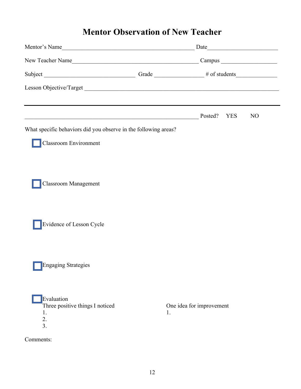# **Mentor Observation of New Teacher**

| Mentor's Name                                                   |    |                          |                |
|-----------------------------------------------------------------|----|--------------------------|----------------|
|                                                                 |    |                          |                |
|                                                                 |    |                          |                |
| Lesson Objective/Target                                         |    |                          |                |
|                                                                 |    |                          |                |
| <u> 1989 - Johann Barnett, fransk politiker (d. 1989)</u>       |    | Posted?<br><b>YES</b>    | N <sub>O</sub> |
| What specific behaviors did you observe in the following areas? |    |                          |                |
| <b>Classroom Environment</b>                                    |    |                          |                |
|                                                                 |    |                          |                |
| <b>Classroom Management</b>                                     |    |                          |                |
| Evidence of Lesson Cycle                                        |    |                          |                |
| <b>Engaging Strategies</b>                                      |    |                          |                |
| Evaluation<br>Three positive things I noticed<br>1.<br>2.<br>3. | 1. | One idea for improvement |                |
| Comments:                                                       |    |                          |                |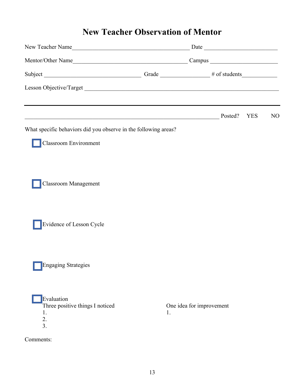# **New Teacher Observation of Mentor**

| New Teacher Name                                                              |    |                          |                |
|-------------------------------------------------------------------------------|----|--------------------------|----------------|
|                                                                               |    |                          |                |
|                                                                               |    |                          |                |
| Lesson Objective/Target                                                       |    |                          |                |
|                                                                               |    |                          |                |
| Posted?<br>What specific behaviors did you observe in the following areas?    |    | <b>YES</b>               | N <sub>O</sub> |
| Classroom Environment                                                         |    |                          |                |
| <b>Classroom Management</b>                                                   |    |                          |                |
| Evidence of Lesson Cycle                                                      |    |                          |                |
| <b>Engaging Strategies</b>                                                    |    |                          |                |
| Evaluation<br>Three positive things I noticed<br>1.<br>2.<br>$\overline{3}$ . | 1. | One idea for improvement |                |
| Comments:                                                                     |    |                          |                |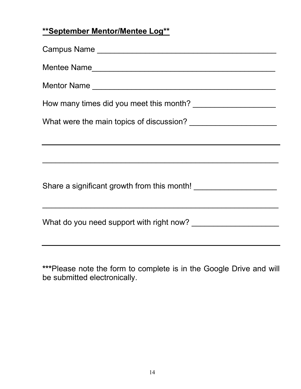# **\*\*September Mentor/Mentee Log\*\***

| Campus Name                                                 |
|-------------------------------------------------------------|
|                                                             |
| Mentor Name                                                 |
|                                                             |
|                                                             |
| <u> 1989 - Johann Stoff, amerikansk politiker (d. 1989)</u> |
|                                                             |
|                                                             |
|                                                             |

**\*\*\***Please note the form to complete is in the Google Drive and will be submitted electronically.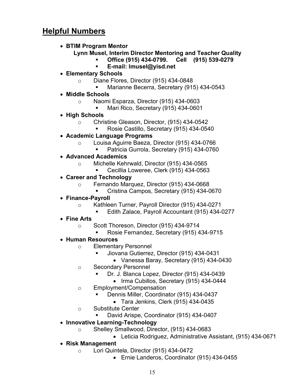# **Helpful Numbers**

• **BTIM Program Mentor**

#### **Lynn Musel, Interim Director Mentoring and Teacher Quality**

- § **Office (915) 434-0799. Cell (915) 539-0279**
- § **E-mail: lmusel@yisd.net**
- **Elementary Schools**
	- o Diane Flores, Director (915) 434-0848
		- § Marianne Becerra, Secretary (915) 434-0543
- **Middle Schools**
	- o Naomi Esparza, Director (915) 434-0603
		- § Mari Rico, Secretary (915) 434-0601
- **High Schools**
	- o Christine Gleason, Director, (915) 434-0542
		- § Rosie Castillo, Secretary (915) 434-0540
- **Academic Language Programs**
	- o Louisa Aguirre Baeza, Director (915) 434-0766
		- § Patricia Gurrola, Secretary (915) 434-0760
- **Advanced Academics**
	- o Michelle Kehrwald, Director (915) 434-0565
		- § Cecillia Loweree, Clerk (915) 434-0563
- **Career and Technology**
	- o Fernando Marquez, Director (915) 434-0668
		- § Cristina Campos, Secretary (915) 434-0670

#### • **Finance-Payroll**

- o Kathleen Turner, Payroll Director (915) 434-0271
	- § Edith Zalace, Payroll Accountant (915) 434-0277
- **Fine Arts**
	- o Scott Thoreson, Director (915) 434-9714
		- § Rosie Fernandez, Secretary (915) 434-9715
- **Human Resources**
	- o Elementary Personnel
		- § Jiovana Gutierrez, Director (915) 434-0431
			- Vanessa Baray, Secretary (915) 434-0430
	- o Secondary Personnel
		- § Dr. J. Blanca Lopez, Director (915) 434-0439
			- Irma Cubillos, Secretary (915) 434-0444
	- o Employment/Compensation
		- § Dennis Miller, Coordinator (915) 434-0437
			- Tara Jenkins, Clerk (915) 434-0435
	- o Substitute Center
		- § David Arispe, Coordinator (915) 434-0407
- **Innovative Learning-Technology**
	- o Shelley Smallwood, Director, (915) 434-0683
		- Leticia Rodriguez, Administrative Assistant, (915) 434-0671
- **Risk Management**
	- o Lori Quintela, Director (915) 434-0472
		- Ernie Landeros, Coordinator (915) 434-0455